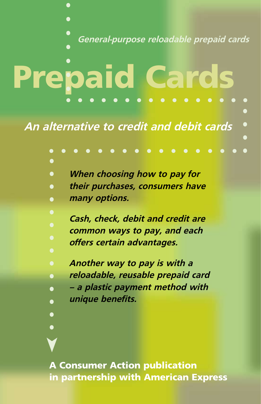**General-purpose reloadable prepaid cards**

# Prepaid Cards

 $\bullet$ 

**An alternative to credit and debit cards**



in partnership with American Express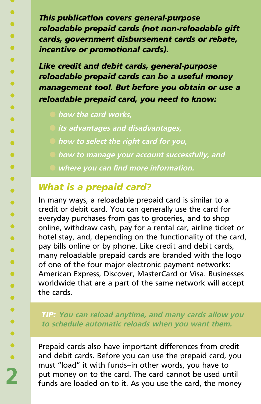*This publication covers general-purpose reloadable prepaid cards (not non-reloadable gift cards, government disbursement cards or rebate, incentive or promotional cards).* 

*Like credit and debit cards, general-purpose reloadable prepaid cards can be a useful money management tool. But before you obtain or use a reloadable prepaid card, you need to know:*

- l **how the card works,**
- l **its advantages and disadvantages,**
- l **how to select the right card for you,**
- l **how to manage your account successfully, and**
	- l **where you can find more information.**

# *What is a prepaid card?*

In many ways, a reloadable prepaid card is similar to a credit or debit card. You can generally use the card for everyday purchases from gas to groceries, and to shop online, withdraw cash, pay for a rental car, airline ticket or hotel stay, and, depending on the functionality of the card, pay bills online or by phone. Like credit and debit cards, many reloadable prepaid cards are branded with the logo of one of the four major electronic payment networks: American Express, Discover, MasterCard or Visa. Businesses worldwide that are a part of the same network will accept the cards.

### *TIP:* **You can reload anytime, and many cards allow you to schedule automatic reloads when you want them.**

Prepaid cards also have important differences from credit and debit cards. Before you can use the prepaid card, you must "load" it with funds—in other words, you have to put money on to the card. The card cannot be used until funds are loaded on to it. As you use the card, the money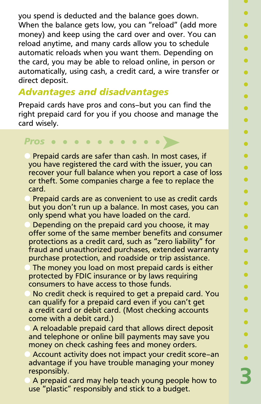you spend is deducted and the balance goes down. When the balance gets low, you can "reload" (add more money) and keep using the card over and over. You can reload anytime, and many cards allow you to schedule automatic reloads when you want them. Depending on the card, you may be able to reload online, in person or automatically, using cash, a credit card, a wire transfer or direct deposit.

# *Advantages and disadvantages*

Prepaid cards have pros and cons—but you can find the right prepaid card for you if you choose and manage the card wisely.

### ➤ *Pros*

Prepaid cards are safer than cash. In most cases, if you have registered the card with the issuer, you can recover your full balance when you report a case of loss or theft. Some companies charge a fee to replace the card.

Prepaid cards are as convenient to use as credit cards but you don't run up a balance. In most cases, you can only spend what you have loaded on the card.

Depending on the prepaid card you choose, it may offer some of the same member benefits and consumer protections as a credit card, such as "zero liability" for fraud and unauthorized purchases, extended warranty purchase protection, and roadside or trip assistance.

The money you load on most prepaid cards is either protected by FDIC insurance or by laws requiring consumers to have access to those funds.

No credit check is required to get a prepaid card. You can qualify for a prepaid card even if you can't get a credit card or debit card. (Most checking accounts come with a debit card.)

A reloadable prepaid card that allows direct deposit and telephone or online bill payments may save you money on check cashing fees and money orders.

Account activity does not impact your credit score-an advantage if you have trouble managing your money responsibly.

A prepaid card may help teach young people how to use "plastic" responsibly and stick to a budget.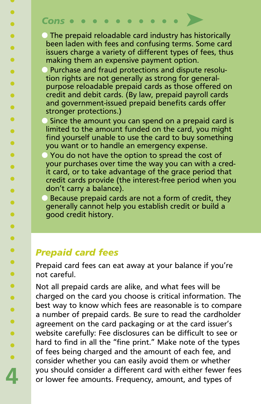### ➤ *Cons*  $\bullet$  $\bullet$  $\bullet$  $\bullet$   $\bullet$

 $\bullet$  The prepaid reloadable card industry has historically been laden with fees and confusing terms. Some card issuers charge a variety of different types of fees, thus making them an expensive payment option.

Purchase and fraud protections and dispute resolution rights are not generally as strong for generalpurpose reloadable prepaid cards as those offered on credit and debit cards. (By law, prepaid payroll cards and government-issued prepaid benefits cards offer stronger protections.)

Since the amount you can spend on a prepaid card is limited to the amount funded on the card, you might find yourself unable to use the card to buy something you want or to handle an emergency expense.

You do not have the option to spread the cost of your purchases over time the way you can with a credit card, or to take advantage of the grace period that credit cards provide (the interest-free period when you don't carry a balance).

l Because prepaid cards are not a form of credit, they generally cannot help you establish credit or build a good credit history.

# *Prepaid card fees*

**4**

 $\bullet$ 

 $\bullet$  $\bullet$  $\bullet$  $\bullet$  $\bullet$  $\bullet$  $\bullet$  $\bullet$  $\bullet$  $\bullet$  $\bullet$  $\bullet$  $\bullet$  $\bullet$  $\bullet$  $\bullet$  $\bullet$  $\bullet$  $\bullet$  $\bullet$  $\bullet$  $\bullet$  $\bullet$  $\bullet$  $\bullet$  $\bullet$  $\bullet$ 

Prepaid card fees can eat away at your balance if you're not careful.

Not all prepaid cards are alike, and what fees will be charged on the card you choose is critical information. The best way to know which fees are reasonable is to compare a number of prepaid cards. Be sure to read the cardholder agreement on the card packaging or at the card issuer's website carefully: Fee disclosures can be difficult to see or hard to find in all the "fine print." Make note of the types of fees being charged and the amount of each fee, and consider whether you can easily avoid them or whether you should consider a different card with either fewer fees or lower fee amounts. Frequency, amount, and types of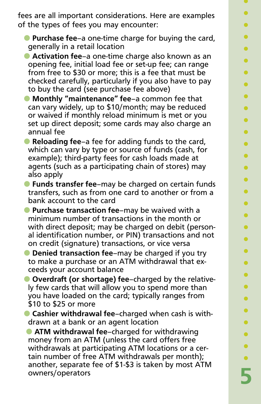- **Purchase fee**—a one-time charge for buying the card, generally in a retail location
- **Activation fee-a one-time charge also known as an** opening fee, initial load fee or set-up fee; can range from free to \$30 or more; this is a fee that must be checked carefully, particularly if you also have to pay to buy the card (see purchase fee above)
- l **Monthly "maintenance" fee**—a common fee that can vary widely, up to \$10/month; may be reduced or waived if monthly reload minimum is met or you set up direct deposit; some cards may also charge an annual fee
- **Reloading fee**—a fee for adding funds to the card, which can vary by type or source of funds (cash, for example); third-party fees for cash loads made at agents (such as a participating chain of stores) may also apply
- l **Funds transfer fee**—may be charged on certain funds transfers, such as from one card to another or from a bank account to the card
- **Purchase transaction fee-may be waived with a** minimum number of transactions in the month or with direct deposit; may be charged on debit (personal identification number, or PIN) transactions and not on credit (signature) transactions, or vice versa
- **O** Denied transaction fee–may be charged if you try to make a purchase or an ATM withdrawal that exceeds your account balance
- **Overdraft (or shortage) fee-charged by the relative**ly few cards that will allow you to spend more than you have loaded on the card; typically ranges from \$10 to \$25 or more
- **Cashier withdrawal fee-charged when cash is with**drawn at a bank or an agent location

**C** ATM withdrawal fee-charged for withdrawing money from an ATM (unless the card offers free withdrawals at participating ATM locations or a certain number of free ATM withdrawals per month); another, separate fee of \$1-\$3 is taken by most ATM owners/operators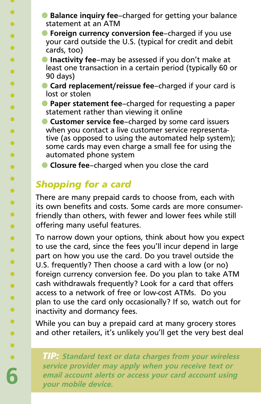- **Balance inquiry fee**-charged for getting your balance statement at an ATM
- **Foreign currency conversion fee**-charged if you use your card outside the U.S. (typical for credit and debit cards, too)
- **Inactivity fee-may be assessed if you don't make at** least one transaction in a certain period (typically 60 or 90 days)
- **Card replacement/reissue fee-charged if your card is** lost or stolen
- **Paper statement fee**–charged for requesting a paper statement rather than viewing it online
- **Customer service fee-charged by some card issuers** when you contact a live customer service representative (as opposed to using the automated help system); some cards may even charge a small fee for using the automated phone system
- **Closure fee-charged when you close the card**

# *Shopping for a card*

There are many prepaid cards to choose from, each with its own benefits and costs. Some cards are more consumerfriendly than others, with fewer and lower fees while still offering many useful features.

To narrow down your options, think about how you expect to use the card, since the fees you'll incur depend in large part on how you use the card. Do you travel outside the U.S. frequently? Then choose a card with a low (or no) foreign currency conversion fee. Do you plan to take ATM cash withdrawals frequently? Look for a card that offers access to a network of free or low-cost ATMs. Do you plan to use the card only occasionally? If so, watch out for inactivity and dormancy fees.

While you can buy a prepaid card at many grocery stores and other retailers, it's unlikely you'll get the very best deal

*TIP:* **Standard text or data charges from your wireless service provider may apply when you receive text or email account alerts or access your card account using your mobile device.**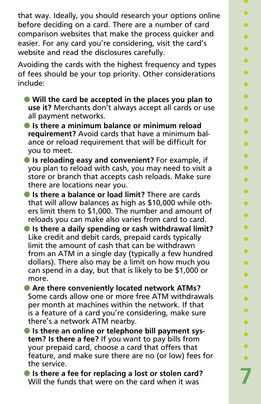that way. Ideally, you should research your options online before deciding on a card. There are a number of card comparison websites that make the process quicker and easier. For any card you're considering, visit the card's website and read the disclosures carefully.

Avoiding the cards with the highest frequency and types of fees should be your top priority. Other considerations include:

- l **Will the card be accepted in the places you plan to use it?** Merchants don't always accept all cards or use all payment networks.
- **Is there a minimum balance or minimum reload requirement?** Avoid cards that have a minimum balance or reload requirement that will be difficult for you to meet.
- **Is reloading easy and convenient?** For example, if you plan to reload with cash, you may need to visit a store or branch that accepts cash reloads. Make sure there are locations near you.
- **Is there a balance or load limit?** There are cards that will allow balances as high as \$10,000 while others limit them to \$1,000. The number and amount of reloads you can make also varies from card to card.
- **Is there a daily spending or cash withdrawal limit?** Like credit and debit cards, prepaid cards typically limit the amount of cash that can be withdrawn from an ATM in a single day (typically a few hundred dollars). There also may be a limit on how much you can spend in a day, but that is likely to be \$1,000 or more.

**C** Are there conveniently located network ATMs? Some cards allow one or more free ATM withdrawals per month at machines within the network. If that is a feature of a card you're considering, make sure there's a network ATM nearby.

**• Is there an online or telephone bill payment system? Is there a fee?** If you want to pay bills from your prepaid card, choose a card that offers that feature, and make sure there are no (or low) fees for the service.

**Is there a fee for replacing a lost or stolen card?** Will the funds that were on the card when it was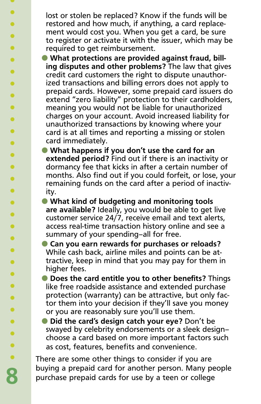lost or stolen be replaced? Know if the funds will be restored and how much, if anything, a card replacement would cost you. When you get a card, be sure to register or activate it with the issuer, which may be required to get reimbursement.

**• What protections are provided against fraud, billing disputes and other problems?** The law that gives credit card customers the right to dispute unauthorized transactions and billing errors does not apply to prepaid cards. However, some prepaid card issuers do extend "zero liability" protection to their cardholders, meaning you would not be liable for unauthorized charges on your account. Avoid increased liability for unauthorized transactions by knowing where your card is at all times and reporting a missing or stolen card immediately.

- **What happens if you don't use the card for an extended period?** Find out if there is an inactivity or dormancy fee that kicks in after a certain number of months. Also find out if you could forfeit, or lose, your remaining funds on the card after a period of inactivity.
- **What kind of budgeting and monitoring tools are available?** Ideally, you would be able to get live customer service 24/7, receive email and text alerts, access real-time transaction history online and see a summary of your spending—all for free.
- **Can you earn rewards for purchases or reloads?** While cash back, airline miles and points can be attractive, keep in mind that you may pay for them in higher fees.
- **Does the card entitle you to other benefits?** Things like free roadside assistance and extended purchase protection (warranty) can be attractive, but only factor them into your decision if they'll save you money or you are reasonably sure you'll use them.
- **Did the card's design catch your eye?** Don't be swayed by celebrity endorsements or a sleek design choose a card based on more important factors such as cost, features, benefits and convenience.

There are some other things to consider if you are buying a prepaid card for another person. Many people purchase prepaid cards for use by a teen or college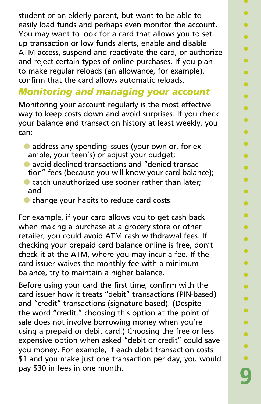student or an elderly parent, but want to be able to easily load funds and perhaps even monitor the account. You may want to look for a card that allows you to set up transaction or low funds alerts, enable and disable ATM access, suspend and reactivate the card, or authorize and reject certain types of online purchases. If you plan to make regular reloads (an allowance, for example), confirm that the card allows automatic reloads.

# *Monitoring and managing your account*

Monitoring your account regularly is the most effective way to keep costs down and avoid surprises. If you check your balance and transaction history at least weekly, you can:

- **address any spending issues (your own or, for ex**ample, your teen's) or adjust your budget;
- **a** avoid declined transactions and "denied transaction" fees (because you will know your card balance);
- $\bullet$  catch unauthorized use sooner rather than later: and
- **C** change your habits to reduce card costs.

For example, if your card allows you to get cash back when making a purchase at a grocery store or other retailer, you could avoid ATM cash withdrawal fees. If checking your prepaid card balance online is free, don't check it at the ATM, where you may incur a fee. If the card issuer waives the monthly fee with a minimum balance, try to maintain a higher balance.

Before using your card the first time, confirm with the card issuer how it treats "debit" transactions (PIN-based) and "credit" transactions (signature-based). (Despite the word "credit," choosing this option at the point of sale does not involve borrowing money when you're using a prepaid or debit card.) Choosing the free or less expensive option when asked "debit or credit" could save you money. For example, if each debit transaction costs \$1 and you make just one transaction per day, you would pay \$30 in fees in one month.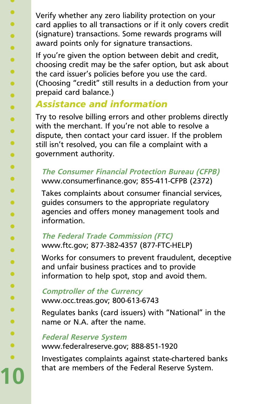Verify whether any zero liability protection on your card applies to all transactions or if it only covers credit (signature) transactions. Some rewards programs will award points only for signature transactions.

If you're given the option between debit and credit, choosing credit may be the safer option, but ask about the card issuer's policies before you use the card. (Choosing "credit" still results in a deduction from your prepaid card balance.)

# *Assistance and information*

Try to resolve billing errors and other problems directly with the merchant. If you're not able to resolve a dispute, then contact your card issuer. If the problem still isn't resolved, you can file a complaint with a government authority.

### **The Consumer Financial Protection Bureau (CFPB)**  www.consumerfinance.gov; 855-411-CFPB (2372)

Takes complaints about consumer financial services, guides consumers to the appropriate regulatory agencies and offers money management tools and information.

# **The Federal Trade Commission (FTC)** www.ftc.gov; 877-382-4357 (877-FTC-HELP)

Works for consumers to prevent fraudulent, deceptive and unfair business practices and to provide information to help spot, stop and avoid them.

### **Comptroller of the Currency** www.occ.treas.gov; 800-613-6743

Regulates banks (card issuers) with "National" in the name or N.A. after the name.

## **Federal Reserve System**

**10**

 $\mathbf{U}$  $\bullet$ 

 $\bullet$  $\bullet$  $\bullet$  $\bullet$  $\bullet$  $\bullet$  $\bullet$  $\bullet$  $\bullet$  $\bullet$  $\bullet$  $\bullet$  $\bullet$  $\bullet$  $\bullet$  $\bullet$  $\bullet$  $\bullet$  $\bullet$  $\bullet$  $\bullet$  $\bullet$  $\bullet$  $\bullet$  $\bullet$  $\bullet$  $\bullet$  $\bullet$ 

www.federalreserve.gov; 888-851-1920

Investigates complaints against state-chartered banks that are members of the Federal Reserve System.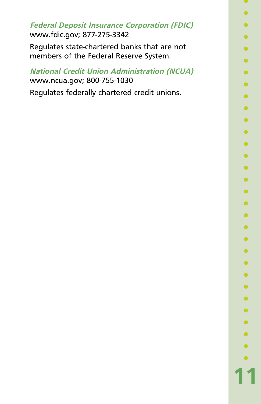**Federal Deposit Insurance Corporation (FDIC)** www.fdic.gov; 877-275-3342

Regulates state-chartered banks that are not members of the Federal Reserve System.

**National Credit Union Administration (NCUA)** www.ncua.gov; 800-755-1030

Regulates federally chartered credit unions.